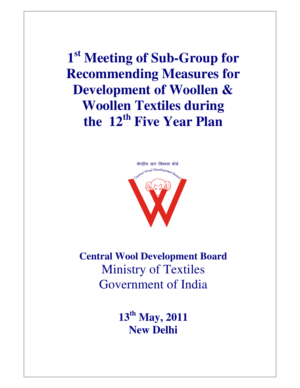**1 st Meeting of Sub-Group for Recommending Measures for Development of Woollen & Woollen Textiles during the 12th Five Year Plan** 



**Central Wool Development Board**  Ministry of Textiles Government of India

> **13th May, 2011 New Delhi**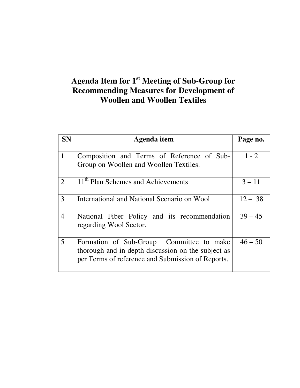# **Agenda Item for 1st Meeting of Sub-Group for Recommending Measures for Development of Woollen and Woollen Textiles**

| <b>SN</b>      | Agenda item                                                                                                                                         | Page no.  |
|----------------|-----------------------------------------------------------------------------------------------------------------------------------------------------|-----------|
| $\mathbf{1}$   | Composition and Terms of Reference of Sub-<br>Group on Woollen and Woollen Textiles.                                                                | $1 - 2$   |
| $\overline{2}$ | 11 <sup>th</sup> Plan Schemes and Achievements                                                                                                      | $3 - 11$  |
| 3              | International and National Scenario on Wool                                                                                                         | $12 - 38$ |
| $\overline{4}$ | National Fiber Policy and its recommendation<br>regarding Wool Sector.                                                                              | $39 - 45$ |
| 5              | Formation of Sub-Group Committee to make<br>thorough and in depth discussion on the subject as<br>per Terms of reference and Submission of Reports. | $46 - 50$ |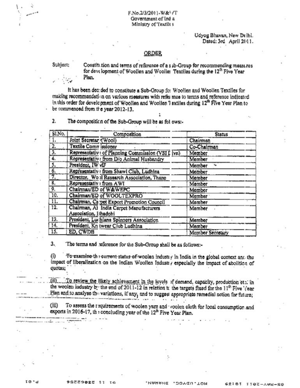Udyog Bhavan, New Delhi. Dated: 3rd April 2011.

#### **ORDER**

Subject:

Constitution and terms of reference of a sub-Group for recommending measures for development of Woollen and Wooller Textiles during the 12<sup>th</sup> Five Year Plan.

It has been decaded to constitute a Sub-Group for Woollen and Woollen Textiles for making recommendation on various measures with refer mos to terms and reference indicated in this order for development of Woollen and Woollen 7 extiles during 12<sup>th</sup> Five Year Plan to be commenced from the year 2012-13.

 $\mathbf{2}$ The composition of the Sub-Group will be as fol ows:-

| SI.No.           | Composition                                                     | <b>Status</b>    |
|------------------|-----------------------------------------------------------------|------------------|
| 1.               | Joint Secretar (Wool)                                           | Chairman         |
| $\overline{2}$ . | Textile Comm issioner                                           | Co-Chairman      |
| $\overline{3}$ . | Representativ: of Planning Commission (VSI I ivn)               | Member           |
| 4.               | Representativ: from D/o Animal Husbandry                        | Member           |
| 5,               | President, IW viF                                               | Member<br>۰.     |
| $rac{6}{7}$      | Representativ : from Shawl Club, Ludhina                        | Member           |
|                  | Director, Wo il Research Association, Thane                     | Member           |
| $\overline{8}$ . | Representativ : from AWI                                        | Member           |
| 9,               | Chairman/ED of W&WEPC                                           | Member           |
| 10.              | Chairman/ED of WOOLTEXPRO                                       | Member           |
| 11.              | Chairman, Carpet Export Promotion Council                       | Member           |
| 12.              | Chairman, Al India Carpet Manufacturers<br>Association, Hhadohi | Member           |
| 13.              | President, Luchiana Spinners Association                        | Member           |
| 14.              | President, Kn twear Club Ludhina                                | Member           |
| 15.              | ED, CWDB                                                        | Member Secretary |

з. The terms and reference for the Sub-Group shall be as follows:-

To examine the current-status of weolen industry in India in the global context and the  $(i)$ impact of liberalization on the Indian Woollen Industry especially the impact of abolition of quotas;

(ii) To review the likely achievement in the levels of demand, capacity, production etc. in the woolen industry by the end of 2011-12 in relation to the targets fixed for the 11<sup>th</sup> Five '/ear Plan and to analyse the variations, if any, and to suggest appropriate remedial action for future;

To assess the requirements of woolen yarn and voolen cloth for local consumption and  $(iii)$ exports in 2016-17, the concluding year of the 12<sup>th</sup> Five Year Plan.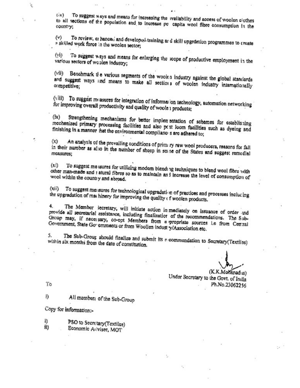To suggest ways and means for increasing the *wailability* and access of woolen elethes  $(iv)$ to all sections of the population and to increase pe capita wool fibre consumption in the

To review, er hanced and developes training ar d skill upgrdetion programmes to create  $(v)$ a skilled work force in the woolen sector;

To suggest ways and means for enlarging the scope of productive employment in the  $(vi)$ various sectors of woolen industry;

(vli) Benchmark the various segments of the woolen industry against the global standards and suggest ways and means to make all sections of woolen industry internationally

(viii) To suggest measures for integration of information technology, automation networking for improving overall productivity and quality of woole i products;

Strengthening mechanisms for better implementation of schemes for establishing  $(x)$ mechanized primary processing facilities and also pest loom facilities such as dyeing and finishing in a manner hat the environmental compliance s are adhered to;

An analysis of the prevailing conditions of prim ry raw weel producers, reasons for fall  $(x)$ in their number as also in the number of sheep in some of the States and suggest remedial measures:

To suggest me isures for utilizing modern blend; ig techniques to blend wool fibre with  $(x)$ other man-made and i atural fibres so as to maintain and increase the level of consumption of wool within the country and abroad.

To suggest me isures for technological upgradation of practices and processes inclucing  $(xii)$ the upgradation of machinery for improving the quality of woolen products.

The Member secretary, will initiate action in mediately on issuance of order and  $4.$ provide all secretarial assistance, including finalization of the recommendations. The Sub-Group may, if necessary, co-opt Members from a propriate sources i.e from Central Government, State Governments or from Woollen indust y/Association etc.

The Sub-Group should finalize and submit its n commendation to Secretary(Textiles) s. within six months from the date of constitution.

(K.K.Mohenadus) Under Secretary to the Govt. of India Ph.No.23062256

To

i) All members of the Sub-Group

Copy for information:-

PSO to Secretary (Textiles) i) il) Economic Adviser, MOT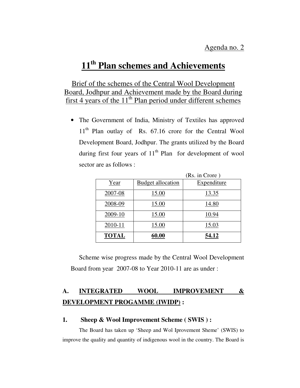# **11th Plan schemes and Achievements**

## Brief of the schemes of the Central Wool Development Board, Jodhpur and Achievement made by the Board during first 4 years of the  $11<sup>th</sup>$  Plan period under different schemes

• The Government of India, Ministry of Textiles has approved 11<sup>th</sup> Plan outlay of Rs. 67.16 crore for the Central Wool Development Board, Jodhpur. The grants utilized by the Board during first four years of  $11<sup>th</sup>$  Plan for development of wool sector are as follows :

|              |                          | (Rs. in Crore) |
|--------------|--------------------------|----------------|
| Year         | <b>Budget allocation</b> | Expenditure    |
| 2007-08      | 15.00                    | 13.35          |
| 2008-09      | 15.00                    | 14.80          |
| 2009-10      | 15.00                    | 10.94          |
| 2010-11      | 15.00                    | 15.03          |
| <b>TOTAL</b> | 60.00                    | 54.12          |

 Scheme wise progress made by the Central Wool Development Board from year 2007-08 to Year 2010-11 are as under :

## **A. INTEGRATED WOOL IMPROVEMENT & DEVELOPMENT PROGAMME (IWIDP) :**

#### **1. Sheep & Wool Improvement Scheme ( SWIS ) :**

 The Board has taken up 'Sheep and Wol Iprovement Sheme' (SWIS) to improve the quality and quantity of indigenous wool in the country. The Board is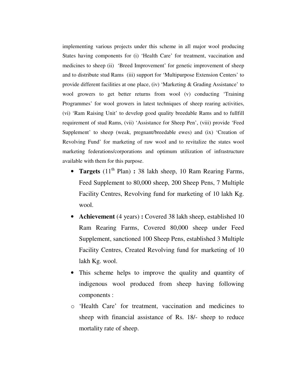implementing various projects under this scheme in all major wool producing States having components for (i) 'Health Care' for treatment, vaccination and medicines to sheep (ii) 'Breed Improvement' for genetic improvement of sheep and to distribute stud Rams (iii) support for 'Multipurpose Extension Centers' to provide different facilities at one place, (iv) 'Marketing & Grading Assistance' to wool growers to get better returns from wool (v) conducting 'Training Programmes' for wool growers in latest techniques of sheep rearing activities, (vi) 'Ram Raising Unit' to develop good quality breedable Rams and to fullfill requirement of stud Rams, (vii) 'Assistance for Sheep Pen', (viii) provide 'Feed Supplement' to sheep (weak, pregnant/breedable ewes) and (ix) 'Creation of Revolving Fund' for marketing of raw wool and to revitalize the states wool marketing federations/corporations and optimum utilization of infrastructure available with them for this purpose.

- **Targets** (11<sup>th</sup> Plan) : 38 lakh sheep, 10 Ram Rearing Farms, Feed Supplement to 80,000 sheep, 200 Sheep Pens, 7 Multiple Facility Centres, Revolving fund for marketing of 10 lakh Kg. wool.
- **Achievement** (4 years) : Covered 38 lakh sheep, established 10 Ram Rearing Farms, Covered 80,000 sheep under Feed Supplement, sanctioned 100 Sheep Pens, established 3 Multiple Facility Centres, Created Revolving fund for marketing of 10 lakh Kg. wool.
- This scheme helps to improve the quality and quantity of indigenous wool produced from sheep having following components :
- o 'Health Care' for treatment, vaccination and medicines to sheep with financial assistance of Rs. 18/- sheep to reduce mortality rate of sheep.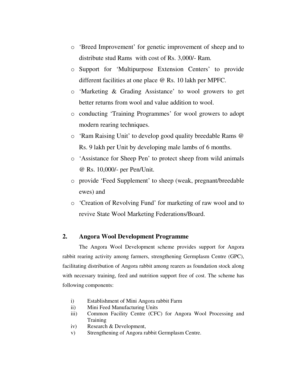- o 'Breed Improvement' for genetic improvement of sheep and to distribute stud Rams with cost of Rs. 3,000/- Ram.
- o Support for 'Multipurpose Extension Centers' to provide different facilities at one place @ Rs. 10 lakh per MPFC.
- o 'Marketing & Grading Assistance' to wool growers to get better returns from wool and value addition to wool.
- o conducting 'Training Programmes' for wool growers to adopt modern rearing techniques.
- o 'Ram Raising Unit' to develop good quality breedable Rams @ Rs. 9 lakh per Unit by developing male lambs of 6 months.
- o 'Assistance for Sheep Pen' to protect sheep from wild animals @ Rs. 10,000/- per Pen/Unit.
- o provide 'Feed Supplement' to sheep (weak, pregnant/breedable ewes) and
- o 'Creation of Revolving Fund' for marketing of raw wool and to revive State Wool Marketing Federations/Board.

#### **2. Angora Wool Development Programme**

 The Angora Wool Development scheme provides support for Angora rabbit rearing activity among farmers, strengthening Germplasm Centre (GPC), facilitating distribution of Angora rabbit among rearers as foundation stock along with necessary training, feed and nutrition support free of cost. The scheme has following components:

- i) Establishment of Mini Angora rabbit Farm
- ii) Mini Feed Manufacturing Units
- iii) Common Facility Centre (CFC) for Angora Wool Processing and **Training**
- iv) Research & Development,
- v) Strengthening of Angora rabbit Germplasm Centre.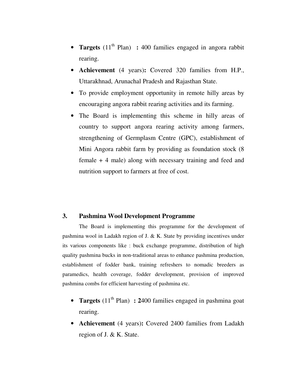- **Targets** (11<sup>th</sup> Plan) : 400 families engaged in angora rabbit rearing.
- **Achievement** (4 years)**:** Covered 320 families from H.P., Uttarakhnad, Arunachal Pradesh and Rajasthan State.
- To provide employment opportunity in remote hilly areas by encouraging angora rabbit rearing activities and its farming.
- The Board is implementing this scheme in hilly areas of country to support angora rearing activity among farmers, strengthening of Germplasm Centre (GPC), establishment of Mini Angora rabbit farm by providing as foundation stock (8 female + 4 male) along with necessary training and feed and nutrition support to farmers at free of cost.

#### **3. Pashmina Wool Development Programme**

 The Board is implementing this programme for the development of pashmina wool in Ladakh region of J. & K. State by providing incentives under its various components like : buck exchange programme, distribution of high quality pashmina bucks in non-traditional areas to enhance pashmina production, establishment of fodder bank, training refreshers to nomadic breeders as paramedics, health coverage, fodder development, provision of improved pashmina combs for efficient harvesting of pashmina etc.

- **Targets**  $(11<sup>th</sup> Plan)$  : 2400 families engaged in pashmina goat rearing.
- **Achievement** (4 years)**:** Covered 2400 families from Ladakh region of J. & K. State.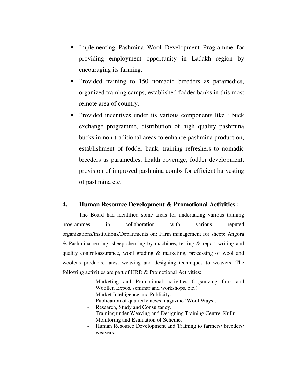- Implementing Pashmina Wool Development Programme for providing employment opportunity in Ladakh region by encouraging its farming.
- Provided training to 150 nomadic breeders as paramedics, organized training camps, established fodder banks in this most remote area of country.
- Provided incentives under its various components like : buck exchange programme, distribution of high quality pashmina bucks in non-traditional areas to enhance pashmina production, establishment of fodder bank, training refreshers to nomadic breeders as paramedics, health coverage, fodder development, provision of improved pashmina combs for efficient harvesting of pashmina etc.

#### **4. Human Resource Development & Promotional Activities :**

 The Board had identified some areas for undertaking various training programmes in collaboration with various reputed organizations/institutions/Departments on: Farm management for sheep; Angora & Pashmina rearing, sheep shearing by machines, testing & report writing and quality control/assurance, wool grading & marketing, processing of wool and woolens products, latest weaving and designing techniques to weavers. The following activities are part of HRD & Promotional Activities:

- Marketing and Promotional activities (organizing fairs and Woollen Expos, seminar and workshops, etc.)
- Market Intelligence and Publicity.
- Publication of quarterly news magazine 'Wool Ways'.
- Research, Study and Consultancy.
- Training under Weaving and Designing Training Centre, Kullu.
- Monitoring and Evaluation of Scheme.
- Human Resource Development and Training to farmers/ breeders/ weavers.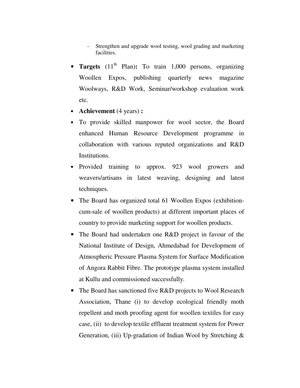Strengthen and upgrade wool testing, wool grading and marketing facilities.

- **Targets**  $(11<sup>th</sup> Plan)$ : To train 1,000 persons, organizing Woollen Expos, publishing quarterly news magazine Woolways, R&D Work, Seminar/workshop evaluation work etc.
- **Achievement** (4 years) **:**
- To provide skilled manpower for wool sector, the Board enhanced Human Resource Development programme in collaboration with various reputed organizations and R&D Institutions.
- Provided training to approx. 923 wool growers and weavers/artisans in latest weaving, designing and latest techniques.
- The Board has organized total 61 Woollen Expos (exhibitioncum-sale of woollen products) at different important places of country to provide marketing support for woollen products.
- The Board had undertaken one R&D project in favour of the National Institute of Design, Ahmedabad for Development of Atmospheric Pressure Plasma System for Surface Modification of Angora Rabbit Fibre. The prototype plasma system installed at Kullu and commissioned successfully.
- The Board has sanctioned five R&D projects to Wool Research Association, Thane (i) to develop ecological friendly moth repellent and moth proofing agent for woollen textiles for easy case, (ii) to develop textile effluent treatment system for Power Generation, (iii) Up-gradation of Indian Wool by Stretching &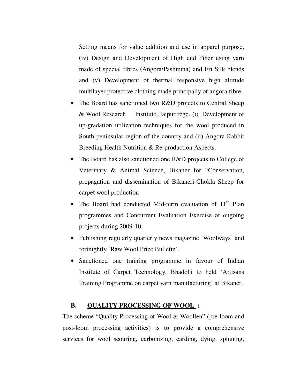Setting means for value addition and use in apparel purpose, (iv) Design and Development of High end Fiber using yarn made of special fibres (Angora/Pashmina) and Eri Silk blends and (v) Development of thermal responsive high altitude multilayer protective clothing made principally of angora fibre.

- The Board has sanctioned two R&D projects to Central Sheep & Wool Research Institute, Jaipur regd. (i) Development of up-gradation utilization techniques for the wool produced in South peninsular region of the country and (ii) Angora Rabbit Breeding Health Nutrition & Re-production Aspects.
- The Board has also sanctioned one R&D projects to College of Veterinary & Animal Science, Bikaner for "Conservation, propagation and dissemination of Bikaneri-Chokla Sheep for carpet wool production
- The Board had conducted Mid-term evaluation of  $11<sup>th</sup>$  Plan programmes and Concurrent Evaluation Exercise of ongoing projects during 2009-10.
- Publishing regularly quarterly news magazine 'Woolways' and fortnightly 'Raw Wool Price Bulletin'.
- Sanctioned one training programme in favour of Indian Institute of Carpet Technology, Bhadohi to held 'Artisans Training Programme on carpet yarn manufacturing' at Bikaner.

### **B. QUALITY PROCESSING OF WOOL :**

 The scheme "Quality Processing of Wool & Woollen" (pre-loom and post-loom processing activities) is to provide a comprehensive services for wool scouring, carbonizing, carding, dying, spinning,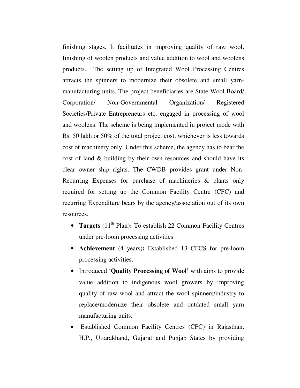finishing stages. It facilitates in improving quality of raw wool, finishing of woolen products and value addition to wool and woolens products. The setting up of Integrated Wool Processing Centres attracts the spinners to modernize their obsolete and small yarnmanufacturing units. The project beneficiaries are State Wool Board/ Corporation/ Non-Governmental Organization/ Registered Societies/Private Entrepreneurs etc. engaged in processing of wool and woolens. The scheme is being implemented in project mode with Rs. 50 lakh or 50% of the total project cost, whichever is less towards cost of machinery only. Under this scheme, the agency has to bear the cost of land & building by their own resources and should have its clear owner ship rights. The CWDB provides grant under Non-Recurring Expenses for purchase of machineries & plants only required for setting up the Common Facility Centre (CFC) and recurring Expenditure bears by the agency/association out of its own resources.

- **Targets** (11<sup>th</sup> Plan): To establish 22 Common Facility Centres under pre-loom processing activities.
- **Achievement** (4 years)**:** Established 13 CFCS for pre-loom processing activities.
- Introduced '**Quality Processing of Wool'** with aims to provide value addition to indigenous wool growers by improving quality of raw wool and attract the wool spinners/industry to replace/modernize their obsolete and outdated small yarn manufacturing units.
- Established Common Facility Centres (CFC) in Rajasthan, H.P., Uttarakhand, Gujarat and Punjab States by providing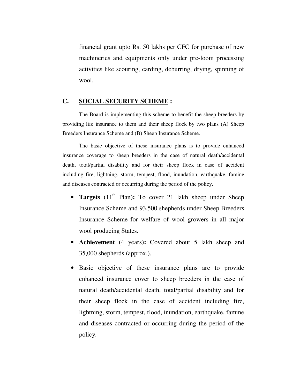financial grant upto Rs. 50 lakhs per CFC for purchase of new machineries and equipments only under pre-loom processing activities like scouring, carding, deburring, drying, spinning of wool.

#### **C. SOCIAL SECURITY SCHEME :**

The Board is implementing this scheme to benefit the sheep breeders by providing life insurance to them and their sheep flock by two plans (A) Sheep Breeders Insurance Scheme and (B) Sheep Insurance Scheme.

The basic objective of these insurance plans is to provide enhanced insurance coverage to sheep breeders in the case of natural death/accidental death, total/partial disability and for their sheep flock in case of accident including fire, lightning, storm, tempest, flood, inundation, earthquake, famine and diseases contracted or occurring during the period of the policy.

- **Targets** (11<sup>th</sup> Plan): To cover 21 lakh sheep under Sheep Insurance Scheme and 93,500 shepherds under Sheep Breeders Insurance Scheme for welfare of wool growers in all major wool producing States.
- **Achievement** (4 years)**:** Covered about 5 lakh sheep and 35,000 shepherds (approx.).
- Basic objective of these insurance plans are to provide enhanced insurance cover to sheep breeders in the case of natural death/accidental death, total/partial disability and for their sheep flock in the case of accident including fire, lightning, storm, tempest, flood, inundation, earthquake, famine and diseases contracted or occurring during the period of the policy.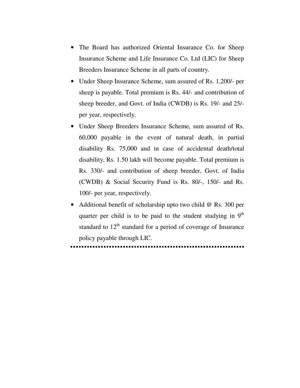- The Board has authorized Oriental Insurance Co. for Sheep Insurance Scheme and Life Insurance Co. Ltd (LIC) for Sheep Breeders Insurance Scheme in all parts of country.
- Under Sheep Insurance Scheme, sum assured of Rs. 1,200/- per sheep is payable. Total premium is Rs. 44/- and contribution of sheep breeder, and Govt. of India (CWDB) is Rs. 19/- and 25/ per year, respectively.
- Under Sheep Breeders Insurance Scheme, sum assured of Rs. 60,000 payable in the event of natural death, in partial disability Rs. 75,000 and in case of accidental death/total disability, Rs. 1.50 lakh will become payable. Total premium is Rs. 330/- and contribution of sheep breeder, Govt. of India (CWDB) & Social Security Fund is Rs. 80/-, 150/- and Rs. 100/- per year, respectively.
- Additional benefit of scholarship upto two child @ Rs. 300 per quarter per child is to be paid to the student studying in  $9<sup>th</sup>$ standard to  $12<sup>th</sup>$  standard for a period of coverage of Insurance policy payable through LIC.